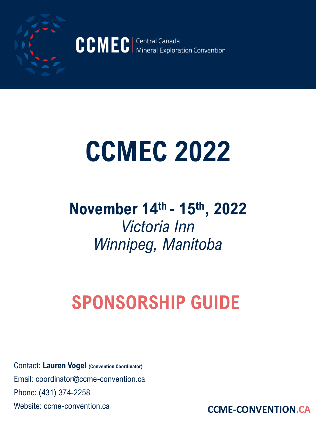

CCMEC | Central Canada<br>Mineral Exploration Convention

# **CCMEC 2022**

### **November 14th - 15th, 2022**  *Victoria Inn Winnipeg, Manitoba*

# **SPONSORSHIP GUIDE**

Contact: **Lauren Vogel (Convention Coordinator)** Email: coordinator@ccme-convention.ca Phone: (431) 374-2258

Website: ccme-convention.ca **CCME-CONVENTION.CA**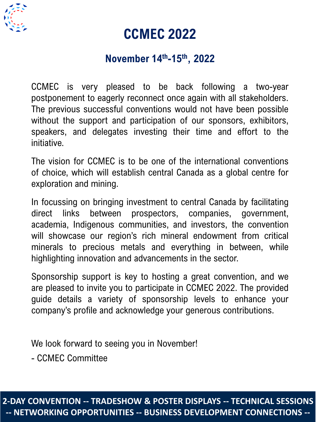

#### **CCMEC 2022**

#### **November 14th-15th, 2022**

CCMEC is very pleased to be back following a two-year postponement to eagerly reconnect once again with all stakeholders. The previous successful conventions would not have been possible without the support and participation of our sponsors, exhibitors, speakers, and delegates investing their time and effort to the initiative.

The vision for CCMEC is to be one of the international conventions of choice, which will establish central Canada as a global centre for exploration and mining.

In focussing on bringing investment to central Canada by facilitating direct links between prospectors, companies, government, academia, Indigenous communities, and investors, the convention will showcase our region's rich mineral endowment from critical minerals to precious metals and everything in between, while highlighting innovation and advancements in the sector.

Sponsorship support is key to hosting a great convention, and we are pleased to invite you to participate in CCMEC 2022. The provided guide details a variety of sponsorship levels to enhance your company's profile and acknowledge your generous contributions.

We look forward to seeing you in November!

- CCMEC Committee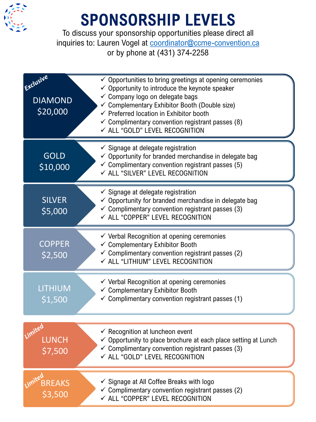

## **SPONSORSHIP LEVELS**

To discuss your sponsorship opportunities please direct all inquiries to: Lauren Vogel at [coordinator@ccme-convention.ca](mailto:coordinator@ccme-convention.ca) or by phone at (431) 374-2258

| Exclusive<br><b>DIAMOND</b><br>\$20,000 | $\checkmark$ Opportunities to bring greetings at opening ceremonies<br>$\checkmark$ Opportunity to introduce the keynote speaker<br>✓ Company logo on delegate bags<br>Complementary Exhibitor Booth (Double size)<br>$\checkmark$ Preferred location in Exhibitor booth<br>$\checkmark$ Complimentary convention registrant passes (8)<br>← ALL "GOLD" LEVEL RECOGNITION |
|-----------------------------------------|---------------------------------------------------------------------------------------------------------------------------------------------------------------------------------------------------------------------------------------------------------------------------------------------------------------------------------------------------------------------------|
| <b>GOLD</b><br>\$10,000                 | $\checkmark$ Signage at delegate registration<br>$\checkmark$ Opportunity for branded merchandise in delegate bag<br>$\checkmark$ Complimentary convention registrant passes (5)<br>√ ALL "SILVER" LEVEL RECOGNITION                                                                                                                                                      |
| <b>SILVER</b><br>\$5,000                | $\checkmark$ Signage at delegate registration<br>$\checkmark$ Opportunity for branded merchandise in delegate bag<br>$\checkmark$ Complimentary convention registrant passes (3)<br>√ ALL "COPPER" LEVEL RECOGNITION                                                                                                                                                      |
| <b>COPPER</b><br>\$2,500                | $\checkmark$ Verbal Recognition at opening ceremonies<br>$\checkmark$ Complementary Exhibitor Booth<br>$\checkmark$ Complimentary convention registrant passes (2)<br>√ ALL "LITHIUM" LEVEL RECOGNITION                                                                                                                                                                   |
| <b>LITHIUM</b><br>\$1,500               | $\checkmark$ Verbal Recognition at opening ceremonies<br>$\checkmark$ Complementary Exhibitor Booth<br>$\checkmark$ Complimentary convention registrant passes (1)                                                                                                                                                                                                        |
| Limited<br><b>LUNCH</b><br>\$7,500      | $\checkmark$ Recognition at luncheon event<br>$\checkmark$ Opportunity to place brochure at each place setting at Lunch<br>$\checkmark$ Complimentary convention registrant passes (3)<br>← ALL "GOLD" LEVEL RECOGNITION                                                                                                                                                  |
| <b>BREAKS</b><br>\$3,500                | ✓ Signage at All Coffee Breaks with logo<br>$\checkmark$ Complimentary convention registrant passes (2)<br>✓ ALL "COPPER" LEVEL RECOGNITION                                                                                                                                                                                                                               |